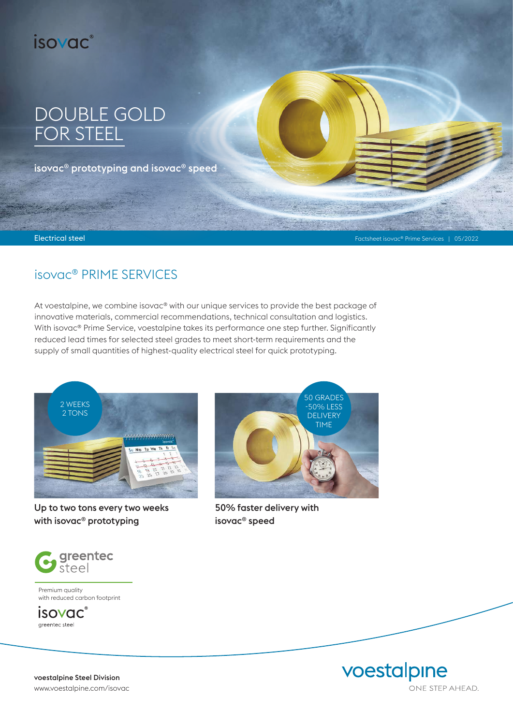

# DOUBLE GOLD FOR STEEL

isovac® prototyping and isovac® speed

Electrical steel

Factsheet isovac® Prime Services | 05/2022

# isovac® PRIME SERVICES

At voestalpine, we combine isovac® with our unique services to provide the best package of innovative materials, commercial recommendations, technical consultation and logistics. With isovac<sup>®</sup> Prime Service, voestalpine takes its performance one step further. Significantly reduced lead times for selected steel grades to meet short-term requirements and the supply of small quantities of highest-quality electrical steel for quick prototyping.



Up to two tons every two weeks with isovac® prototyping



Premium quality with reduced carbon footprint

*isovac*<sup>®</sup> greentec steel



50% faster delivery with isovac® speed



voestalpine Steel Division www.voestalpine.com/isovac